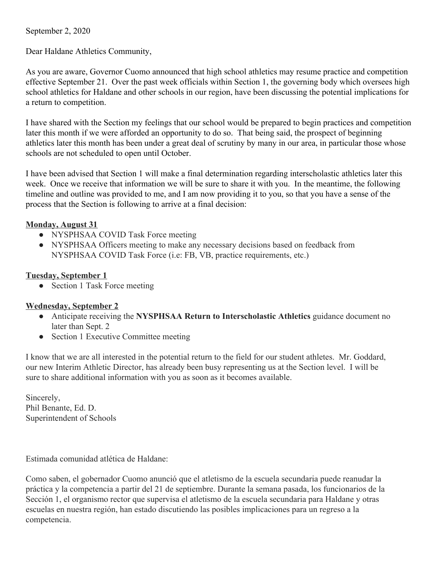## September 2, 2020

Dear Haldane Athletics Community,

As you are aware, Governor Cuomo announced that high school athletics may resume practice and competition effective September 21. Over the past week officials within Section 1, the governing body which oversees high school athletics for Haldane and other schools in our region, have been discussing the potential implications for a return to competition.

I have shared with the Section my feelings that our school would be prepared to begin practices and competition later this month if we were afforded an opportunity to do so. That being said, the prospect of beginning athletics later this month has been under a great deal of scrutiny by many in our area, in particular those whose schools are not scheduled to open until October.

I have been advised that Section 1 will make a final determination regarding interscholastic athletics later this week. Once we receive that information we will be sure to share it with you. In the meantime, the following timeline and outline was provided to me, and I am now providing it to you, so that you have a sense of the process that the Section is following to arrive at a final decision:

## **Monday, August 31**

- NYSPHSAA COVID Task Force meeting
- NYSPHSAA Officers meeting to make any necessary decisions based on feedback from NYSPHSAA COVID Task Force (i.e: FB, VB, practice requirements, etc.)

## **Tuesday, September 1**

• Section 1 Task Force meeting

## **Wednesday, September 2**

- Anticipate receiving the **NYSPHSAA Return to Interscholastic Athletics** guidance document no later than Sept. 2
- Section 1 Executive Committee meeting

I know that we are all interested in the potential return to the field for our student athletes. Mr. Goddard, our new Interim Athletic Director, has already been busy representing us at the Section level. I will be sure to share additional information with you as soon as it becomes available.

Sincerely, Phil Benante, Ed. D. Superintendent of Schools

Estimada comunidad atlética de Haldane:

Como saben, el gobernador Cuomo anunció que el atletismo de la escuela secundaria puede reanudar la práctica y la competencia a partir del 21 de septiembre. Durante la semana pasada, los funcionarios de la Sección 1, el organismo rector que supervisa el atletismo de la escuela secundaria para Haldane y otras escuelas en nuestra región, han estado discutiendo las posibles implicaciones para un regreso a la competencia.